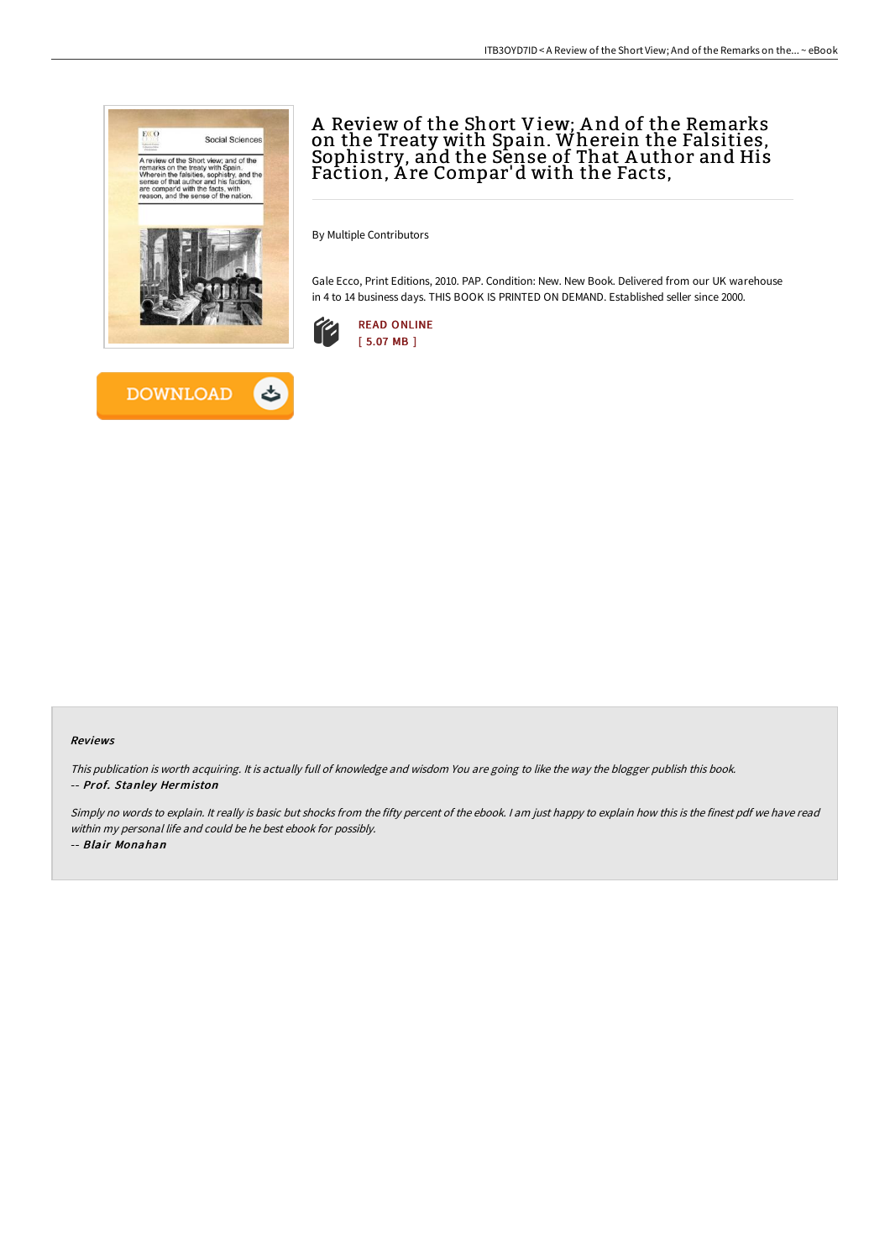



# A Review of the Short View; A nd of the Remarks on the Treaty with Spain. Wherein the Falsities, Sophistry, and the Sense of That A uthor and His Faction, A re Compar'd with the Facts,

By Multiple Contributors

Gale Ecco, Print Editions, 2010. PAP. Condition: New. New Book. Delivered from our UK warehouse in 4 to 14 business days. THIS BOOK IS PRINTED ON DEMAND. Established seller since 2000.



### Reviews

This publication is worth acquiring. It is actually full of knowledge and wisdom You are going to like the way the blogger publish this book. -- Prof. Stanley Hermiston

Simply no words to explain. It really is basic but shocks from the fifty percent of the ebook. I am just happy to explain how this is the finest pdf we have read within my personal life and could be he best ebook for possibly.

-- Blair Monahan